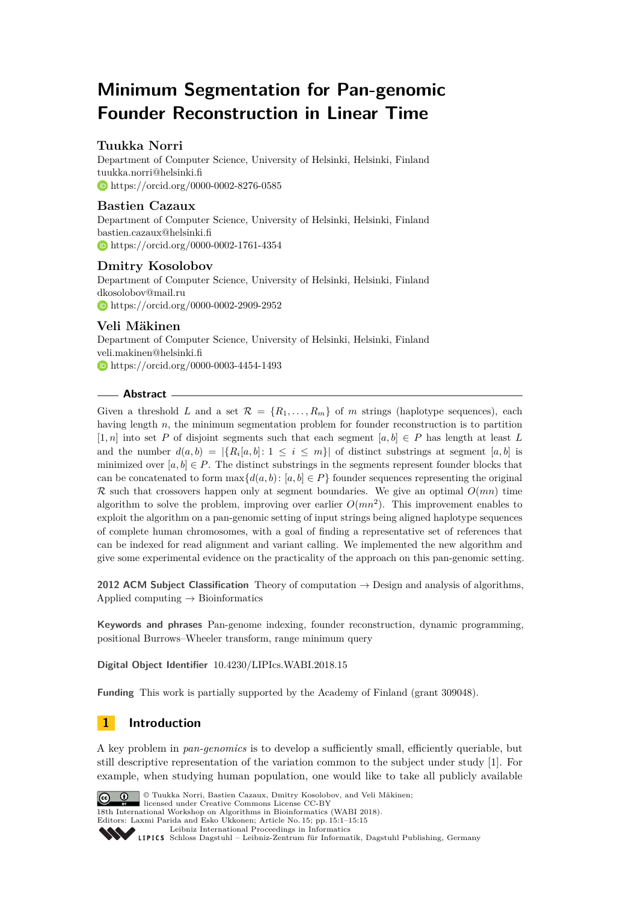# **Minimum Segmentation for Pan-genomic Founder Reconstruction in Linear Time**

# **Tuukka Norri**

Department of Computer Science, University of Helsinki, Helsinki, Finland [tuukka.norri@helsinki.fi](mailto:tuukka.norri@helsinki.fi) <https://orcid.org/0000-0002-8276-0585>

## **Bastien Cazaux**

Department of Computer Science, University of Helsinki, Helsinki, Finland [bastien.cazaux@helsinki.fi](mailto:bastien.cazaux@helsinki.fi) <https://orcid.org/0000-0002-1761-4354>

# **Dmitry Kosolobov**

Department of Computer Science, University of Helsinki, Helsinki, Finland [dkosolobov@mail.ru](mailto:dkosolobov@mail.ru) <https://orcid.org/0000-0002-2909-2952>

# **Veli Mäkinen**

Department of Computer Science, University of Helsinki, Helsinki, Finland [veli.makinen@helsinki.fi](mailto:veli.makinen@helsinki.fi) <https://orcid.org/0000-0003-4454-1493>

### **Abstract**

Given a threshold *L* and a set  $\mathcal{R} = \{R_1, \ldots, R_m\}$  of *m* strings (haplotype sequences), each having length *n*, the minimum segmentation problem for founder reconstruction is to partition [1*, n*] into set *P* of disjoint segments such that each segment [*a, b*] ∈ *P* has length at least *L* and the number  $d(a, b) = |\{R_i[a, b] : 1 \leq i \leq m\}|$  of distinct substrings at segment  $[a, b]$  is minimized over  $[a, b] \in P$ . The distinct substrings in the segments represent founder blocks that can be concatenated to form  $\max\{d(a, b): [a, b] \in P\}$  founder sequences representing the original  $\mathcal R$  such that crossovers happen only at segment boundaries. We give an optimal  $O(mn)$  time algorithm to solve the problem, improving over earlier  $O(mn^2)$ . This improvement enables to exploit the algorithm on a pan-genomic setting of input strings being aligned haplotype sequences of complete human chromosomes, with a goal of finding a representative set of references that can be indexed for read alignment and variant calling. We implemented the new algorithm and give some experimental evidence on the practicality of the approach on this pan-genomic setting.

**2012 ACM Subject Classification** Theory of computation → Design and analysis of algorithms, Applied computing  $\rightarrow$  Bioinformatics

**Keywords and phrases** Pan-genome indexing, founder reconstruction, dynamic programming, positional Burrows–Wheeler transform, range minimum query

**Digital Object Identifier** [10.4230/LIPIcs.WABI.2018.15](http://dx.doi.org/10.4230/LIPIcs.WABI.2018.15)

**Funding** This work is partially supported by the Academy of Finland (grant 309048).

# **1 Introduction**

A key problem in *pan-genomics* is to develop a sufficiently small, efficiently queriable, but still descriptive representation of the variation common to the subject under study [\[1\]](#page-12-0). For example, when studying human population, one would like to take all publicly available



© Tuukka Norri, Bastien Cazaux, Dmitry Kosolobov, and Veli Mäkinen; licensed under Creative Commons License CC-BY 18th International Workshop on Algorithms in Bioinformatics (WABI 2018). Editors: Laxmi Parida and Esko Ukkonen; Article No. 15; pp. 15:1–15[:15](#page-14-0) [Leibniz International Proceedings in Informatics](http://www.dagstuhl.de/lipics/)

[Schloss Dagstuhl – Leibniz-Zentrum für Informatik, Dagstuhl Publishing, Germany](http://www.dagstuhl.de)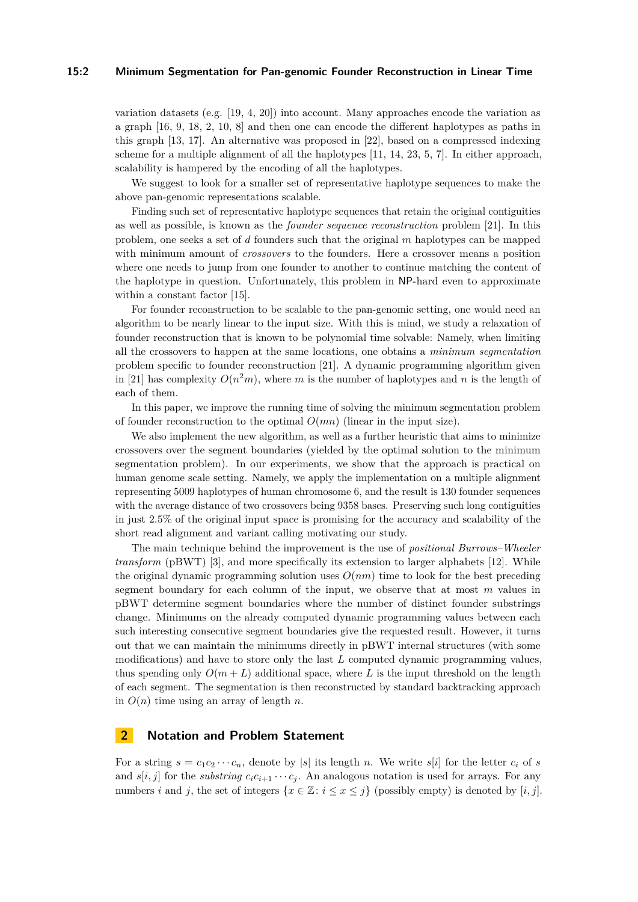#### **15:2 Minimum Segmentation for Pan-genomic Founder Reconstruction in Linear Time**

variation datasets (e.g. [\[19,](#page-13-0) [4,](#page-12-1) [20\]](#page-13-1)) into account. Many approaches encode the variation as a graph [\[16,](#page-13-2) [9,](#page-12-2) [18,](#page-13-3) [2,](#page-12-3) [10,](#page-12-4) [8\]](#page-12-5) and then one can encode the different haplotypes as paths in this graph [\[13,](#page-12-6) [17\]](#page-13-4). An alternative was proposed in [\[22\]](#page-13-5), based on a compressed indexing scheme for a multiple alignment of all the haplotypes [\[11,](#page-12-7) [14,](#page-12-8) [23,](#page-13-6) [5,](#page-12-9) [7\]](#page-12-10). In either approach, scalability is hampered by the encoding of all the haplotypes.

We suggest to look for a smaller set of representative haplotype sequences to make the above pan-genomic representations scalable.

Finding such set of representative haplotype sequences that retain the original contiguities as well as possible, is known as the *founder sequence reconstruction* problem [\[21\]](#page-13-7). In this problem, one seeks a set of *d* founders such that the original *m* haplotypes can be mapped with minimum amount of *crossovers* to the founders. Here a crossover means a position where one needs to jump from one founder to another to continue matching the content of the haplotype in question. Unfortunately, this problem in NP-hard even to approximate within a constant factor [\[15\]](#page-13-8).

For founder reconstruction to be scalable to the pan-genomic setting, one would need an algorithm to be nearly linear to the input size. With this is mind, we study a relaxation of founder reconstruction that is known to be polynomial time solvable: Namely, when limiting all the crossovers to happen at the same locations, one obtains a *minimum segmentation* problem specific to founder reconstruction [\[21\]](#page-13-7). A dynamic programming algorithm given in [\[21\]](#page-13-7) has complexity  $O(n^2m)$ , where *m* is the number of haplotypes and *n* is the length of each of them.

In this paper, we improve the running time of solving the minimum segmentation problem of founder reconstruction to the optimal *O*(*mn*) (linear in the input size).

We also implement the new algorithm, as well as a further heuristic that aims to minimize crossovers over the segment boundaries (yielded by the optimal solution to the minimum segmentation problem). In our experiments, we show that the approach is practical on human genome scale setting. Namely, we apply the implementation on a multiple alignment representing 5009 haplotypes of human chromosome 6, and the result is 130 founder sequences with the average distance of two crossovers being 9358 bases. Preserving such long contiguities in just 2.5% of the original input space is promising for the accuracy and scalability of the short read alignment and variant calling motivating our study.

The main technique behind the improvement is the use of *positional Burrows–Wheeler transform* (pBWT) [\[3\]](#page-12-11), and more specifically its extension to larger alphabets [\[12\]](#page-12-12). While the original dynamic programming solution uses  $O(nm)$  time to look for the best preceding segment boundary for each column of the input, we observe that at most *m* values in pBWT determine segment boundaries where the number of distinct founder substrings change. Minimums on the already computed dynamic programming values between each such interesting consecutive segment boundaries give the requested result. However, it turns out that we can maintain the minimums directly in pBWT internal structures (with some modifications) and have to store only the last *L* computed dynamic programming values, thus spending only  $O(m+L)$  additional space, where L is the input threshold on the length of each segment. The segmentation is then reconstructed by standard backtracking approach in  $O(n)$  time using an array of length *n*.

### **2 Notation and Problem Statement**

For a string  $s = c_1 c_2 \cdots c_n$ , denote by |s| its length *n*. We write  $s[i]$  for the letter  $c_i$  of *s* and  $s[i, j]$  for the *substring*  $c_i c_{i+1} \cdots c_j$ . An analogous notation is used for arrays. For any numbers *i* and *j*, the set of integers  $\{x \in \mathbb{Z}: i \leq x \leq j\}$  (possibly empty) is denoted by [*i, j*].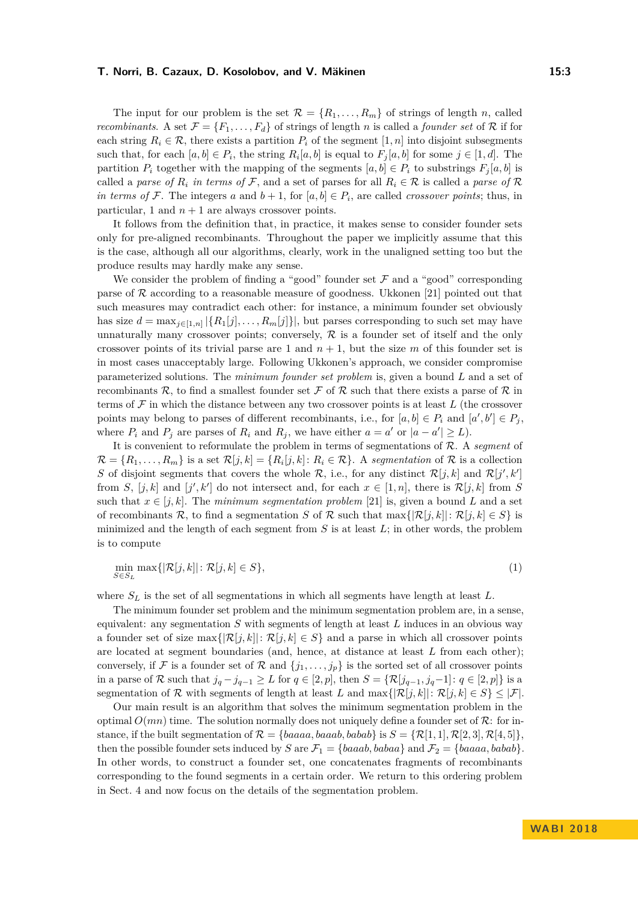The input for our problem is the set  $\mathcal{R} = \{R_1, \ldots, R_m\}$  of strings of length *n*, called *recombinants.* A set  $\mathcal{F} = \{F_1, \ldots, F_d\}$  of strings of length *n* is called a *founder set* of R if for each string  $R_i \in \mathcal{R}$ , there exists a partition  $P_i$  of the segment  $[1, n]$  into disjoint subsegments such that, for each  $[a, b] \in P_i$ , the string  $R_i[a, b]$  is equal to  $F_j[a, b]$  for some  $j \in [1, d]$ . The partition  $P_i$  together with the mapping of the segments  $[a, b] \in P_i$  to substrings  $F_i[a, b]$  is called a *parse of*  $R_i$  *in terms of*  $\mathcal{F}$ , and a set of parses for all  $R_i \in \mathcal{R}$  is called a parse of  $\mathcal{R}$ *in terms of* F. The integers *a* and  $b + 1$ , for  $[a, b] \in P_i$ , are called *crossover points*; thus, in particular, 1 and  $n + 1$  are always crossover points.

It follows from the definition that, in practice, it makes sense to consider founder sets only for pre-aligned recombinants. Throughout the paper we implicitly assume that this is the case, although all our algorithms, clearly, work in the unaligned setting too but the produce results may hardly make any sense.

We consider the problem of finding a "good" founder set  $\mathcal F$  and a "good" corresponding parse of  $\mathcal R$  according to a reasonable measure of goodness. Ukkonen [\[21\]](#page-13-7) pointed out that such measures may contradict each other: for instance, a minimum founder set obviously has size  $d = \max_{j \in [1,n]} |\{R_1[j], \ldots, R_m[j]\}|$ , but parses corresponding to such set may have unnaturally many crossover points; conversely,  $R$  is a founder set of itself and the only crossover points of its trivial parse are 1 and  $n + 1$ , but the size *m* of this founder set is in most cases unacceptably large. Following Ukkonen's approach, we consider compromise parameterized solutions. The *minimum founder set problem* is, given a bound *L* and a set of recombinants R, to find a smallest founder set F of R such that there exists a parse of R in terms of  $\mathcal F$  in which the distance between any two crossover points is at least  $L$  (the crossover points may belong to parses of different recombinants, i.e., for  $[a, b] \in P_i$  and  $[a', b'] \in P_j$ , where  $P_i$  and  $P_j$  are parses of  $R_i$  and  $R_j$ , we have either  $a = a'$  or  $|a - a'| \ge L$ .

It is convenient to reformulate the problem in terms of segmentations of R. A *segment* of  $\mathcal{R} = \{R_1, \ldots, R_m\}$  is a set  $\mathcal{R}[j, k] = \{R_i[j, k] : R_i \in \mathcal{R}\}$ . A *segmentation* of  $\mathcal R$  is a collection *S* of disjoint segments that covers the whole  $\mathcal{R}$ , i.e., for any distinct  $\mathcal{R}[j,k]$  and  $\mathcal{R}[j',k']$ from *S*,  $[j, k]$  and  $[j', k']$  do not intersect and, for each  $x \in [1, n]$ , there is  $\mathcal{R}[j, k]$  from *S* such that  $x \in [i, k]$ . The *minimum seqmentation problem* [\[21\]](#page-13-7) is, given a bound L and a set of recombinants R, to find a segmentation *S* of R such that  $\max\{|\mathcal{R}[j,k]|:\mathcal{R}[j,k]\in S\}$  is minimized and the length of each segment from  $S$  is at least  $L$ ; in other words, the problem is to compute

<span id="page-2-0"></span>
$$
\min_{S \in S_L} \max\{|\mathcal{R}[j,k]| : \mathcal{R}[j,k] \in S\},\tag{1}
$$

where  $S_L$  is the set of all segmentations in which all segments have length at least  $L$ .

The minimum founder set problem and the minimum segmentation problem are, in a sense, equivalent: any segmentation *S* with segments of length at least *L* induces in an obvious way a founder set of size  $\max\{|\mathcal{R}[j,k]|:\mathcal{R}[j,k]\in S\}$  and a parse in which all crossover points are located at segment boundaries (and, hence, at distance at least *L* from each other); conversely, if F is a founder set of R and  $\{j_1, \ldots, j_p\}$  is the sorted set of all crossover points in a parse of R such that  $j_q - j_{q-1} \ge L$  for  $q \in [2, p]$ , then  $S = \{ \mathcal{R}[j_{q-1}, j_q-1] : q \in [2, p] \}$  is a segmentation of R with segments of length at least *L* and  $\max\{|\mathcal{R}[j,k]|:\mathcal{R}[j,k]\in S\}\leq |\mathcal{F}|$ .

Our main result is an algorithm that solves the minimum segmentation problem in the optimal  $O(mn)$  time. The solution normally does not uniquely define a founder set of  $\mathcal{R}$ : for instance, if the built segmentation of  $\mathcal{R} = \{baaaa, baaab, babab\}$  is  $S = \{\mathcal{R}[1, 1], \mathcal{R}[2, 3], \mathcal{R}[4, 5]\},$ then the possible founder sets induced by *S* are  $\mathcal{F}_1 = \{baaab, babaa\}$  and  $\mathcal{F}_2 = \{baaaa, babab\}.$ In other words, to construct a founder set, one concatenates fragments of recombinants corresponding to the found segments in a certain order. We return to this ordering problem in Sect. [4](#page-9-0) and now focus on the details of the segmentation problem.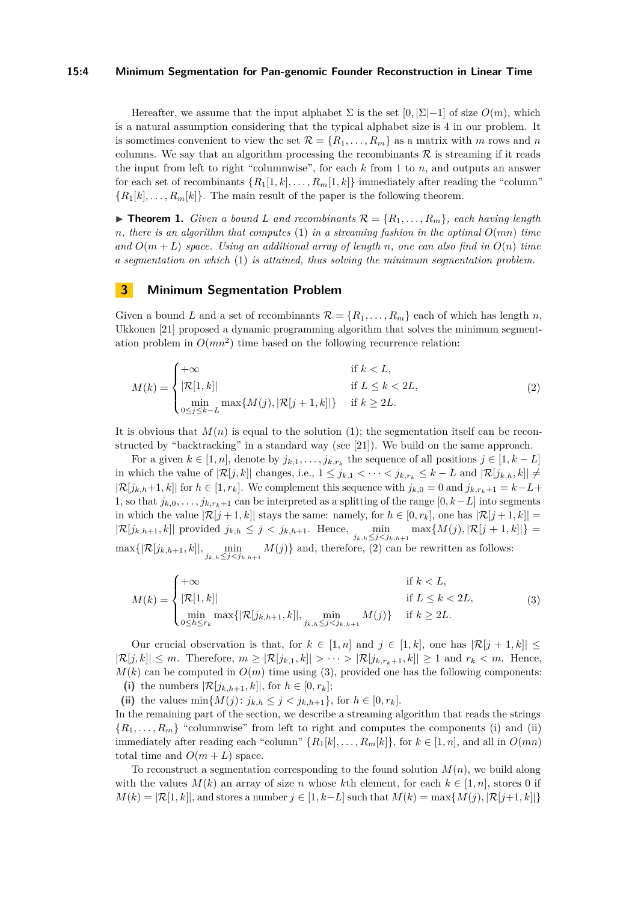#### **15:4 Minimum Segmentation for Pan-genomic Founder Reconstruction in Linear Time**

Hereafter, we assume that the input alphabet  $\Sigma$  is the set  $[0, \Sigma]-1]$  of size  $O(m)$ , which is a natural assumption considering that the typical alphabet size is 4 in our problem. It is sometimes convenient to view the set  $\mathcal{R} = \{R_1, \ldots, R_m\}$  as a matrix with *m* rows and *n* columns. We say that an algorithm processing the recombinants  $R$  is streaming if it reads the input from left to right "columnwise", for each *k* from 1 to *n*, and outputs an answer for each set of recombinants  $\{R_1[1,k], \ldots, R_m[1,k]\}$  immediately after reading the "column"  ${R_1[k], \ldots, R_m[k]}$ . The main result of the paper is the following theorem.

<span id="page-3-2"></span> $\triangleright$  **Theorem 1.** *Given a bound L and recombinants*  $\mathcal{R} = \{R_1, \ldots, R_m\}$ *, each having length*  $n$ *, there is an algorithm that computes* [\(1\)](#page-2-0) *in a streaming fashion in the optimal*  $O(mn)$  *time* and  $O(m+L)$  *space. Using an additional array of length n, one can also find in*  $O(n)$  *time a segmentation on which* [\(1\)](#page-2-0) *is attained, thus solving the minimum segmentation problem.*

### **3 Minimum Segmentation Problem**

Given a bound *L* and a set of recombinants  $\mathcal{R} = \{R_1, \ldots, R_m\}$  each of which has length *n*, Ukkonen [\[21\]](#page-13-7) proposed a dynamic programming algorithm that solves the minimum segmentation problem in  $O(mn^2)$  time based on the following recurrence relation:

<span id="page-3-0"></span>
$$
M(k) = \begin{cases} +\infty & \text{if } k < L, \\ |\mathcal{R}[1,k]| & \text{if } L \le k < 2L, \\ \min_{0 \le j \le k - L} \max\{M(j), |\mathcal{R}[j+1,k]|\} & \text{if } k \ge 2L. \end{cases} \tag{2}
$$

It is obvious that  $M(n)$  is equal to the solution [\(1\)](#page-2-0); the segmentation itself can be reconstructed by "backtracking" in a standard way (see [\[21\]](#page-13-7)). We build on the same approach.

For a given  $k \in [1, n]$ , denote by  $j_{k,1}, \ldots, j_{k,r_k}$  the sequence of all positions  $j \in [1, k - L]$ in which the value of  $|\mathcal{R}[j,k]|$  changes, i.e.,  $1 \leq j_{k,1} < \cdots < j_{k,r_k} \leq k - L$  and  $|\mathcal{R}[j_{k,h},k]|$  ≠  $|\mathcal{R}[j_{k,h}+1,k]|$  for  $h \in [1,r_k]$ . We complement this sequence with  $j_{k,0} = 0$  and  $j_{k,r_k+1} = k - L +$ 1, so that  $j_k,0,\ldots,j_{k,r_k+1}$  can be interpreted as a splitting of the range  $[0, k-L]$  into segments in which the value  $|\mathcal{R}[j+1,k]|$  stays the same: namely, for  $h \in [0,r_k]$ , one has  $|\mathcal{R}[j+1,k]|$  $|\mathcal{R}[j_{k,h+1},k]|$  provided  $j_{k,h} \leq j < j_{k,h+1}$ . Hence,  $\min_{j_{k,h} \leq j < j_{k,h+1}} \max\{M(j), |\mathcal{R}[j+1,k]| \}$  $\max\{|\mathcal{R}[j_{k,h+1},k]|, \min_{j_{k,h}\leq j\leq j_{k,h+1}} M(j)\}\$  and, therefore, [\(2\)](#page-3-0) can be rewritten as follows:

<span id="page-3-1"></span>
$$
M(k) = \begin{cases} +\infty & \text{if } k < L, \\ |\mathcal{R}[1,k]| & \text{if } L \le k < 2L, \\ \min_{0 \le h \le r_k} \max\{|\mathcal{R}[j_{k,h+1},k]|, \min_{j_{k,h} \le j < j_{k,h+1}} M(j)\} & \text{if } k \ge 2L. \end{cases} \tag{3}
$$

Our crucial observation is that, for  $k \in [1, n]$  and  $j \in [1, k]$ , one has  $|\mathcal{R}[j + 1, k]| \leq$  $|\mathcal{R}[j,k]| \leq m$ . Therefore,  $m \geq |\mathcal{R}[j_{k,1},k]| > \cdots > |\mathcal{R}[j_{k,r_k+1},k]| \geq 1$  and  $r_k < m$ . Hence,  $M(k)$  can be computed in  $O(m)$  time using [\(3\)](#page-3-1), provided one has the following components: (i) the numbers  $|\mathcal{R}[j_{k,h+1},k]|$ , for  $h \in [0,r_k]$ ;

(ii) the values  $\min\{M(j): j_{k,h} \leq j < j_{k,h+1}\},$  for  $h \in [0, r_k]$ .

In the remaining part of the section, we describe a streaming algorithm that reads the strings  ${R_1, \ldots, R_m}$  "columnwise" from left to right and computes the components (i) and (ii) immediately after reading each "column"  ${R_1[k], \ldots, R_m[k]}$  for  $k \in [1, n]$ , and all in  $O(mn)$ total time and  $O(m+L)$  space.

To reconstruct a segmentation corresponding to the found solution *M*(*n*), we build along with the values  $M(k)$  an array of size *n* whose kth element, for each  $k \in [1, n]$ , stores 0 if  $M(k) = |\mathcal{R}[1, k]|$ , and stores a number  $j \in [1, k-L]$  such that  $M(k) = \max\{M(j), |\mathcal{R}[j+1, k]| \}$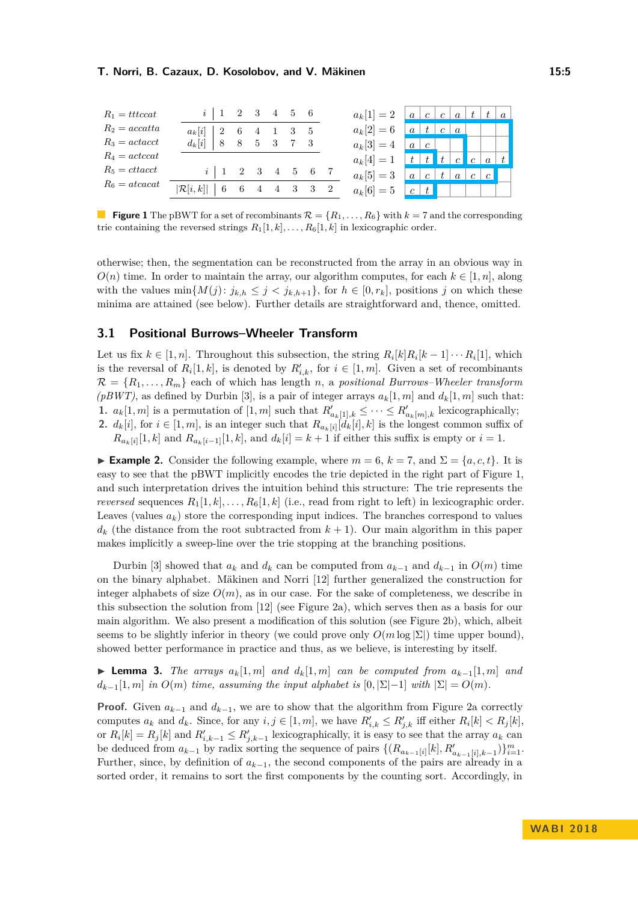<span id="page-4-0"></span>

| $R_1$ = tttccat                               | $i \mid 1 \quad 2 \quad 3$  |                |                | 4 5 6          |     |             | $a_k[1]=2$   $a$   $c$   $c$   $a$   $t$   $t$ |                  |                                                           |   |                  |                 | a |
|-----------------------------------------------|-----------------------------|----------------|----------------|----------------|-----|-------------|------------------------------------------------|------------------|-----------------------------------------------------------|---|------------------|-----------------|---|
| $R_2 = accatta$                               | $a_k[i]$<br>$\overline{2}$  | - 6            | $\overline{4}$ | 1 3 5          |     |             | $a_k[2] = 6$                                   | $\boldsymbol{a}$ | t                                                         | c | $\boldsymbol{a}$ |                 |   |
| $R_3 = \text{act } \alpha$                    | $d_k[i]$<br>8               | 8 <sup>8</sup> | $-5$           | 3              |     |             | $a_k[3] = 4$                                   | $\boldsymbol{a}$ | $\mathfrak{c}$                                            |   |                  |                 |   |
| $R_4 = \text{actccat}$                        |                             |                |                |                |     |             | $a_k[4] = 1$                                   |                  | $\begin{array}{ c c c c c }\hline t&t&\hline \end{array}$ |   |                  |                 |   |
| $R_5 = \text{ctt} \alpha \text{c} \text{c} t$ | i                           | 2 3            |                | $\overline{4}$ | - 5 | 6 7         | $a_k[5] = 3$                                   | $\boldsymbol{a}$ | $\mathfrak{c}$                                            |   | $\overline{a}$   | $c \mid c \mid$ |   |
| $R_6 = atcacat$                               | $ \mathcal{R}[i,k] $<br>- 6 |                |                | 6 4 4 3        |     | $3 \quad 2$ | $a_k[6] = 5$                                   | c                |                                                           |   |                  |                 |   |

**Figure 1** The pBWT for a set of recombinants  $\mathcal{R} = \{R_1, \ldots, R_6\}$  with  $k = 7$  and the corresponding trie containing the reversed strings  $R_1[1, k], \ldots, R_6[1, k]$  in lexicographic order.

otherwise; then, the segmentation can be reconstructed from the array in an obvious way in  $O(n)$  time. In order to maintain the array, our algorithm computes, for each  $k \in [1, n]$ , along with the values  $\min\{M(j): j_{k,h} \leq j < j_{k,h+1}\}\$ , for  $h \in [0, r_k]$ , positions *j* on which these minima are attained (see below). Further details are straightforward and, thence, omitted.

### **3.1 Positional Burrows–Wheeler Transform**

Let us fix  $k \in [1, n]$ . Throughout this subsection, the string  $R_i[k]R_i[k-1] \cdots R_i[1]$ , which is the reversal of  $R_i[1, k]$ , is denoted by  $R'_{i,k}$ , for  $i \in [1, m]$ . Given a set of recombinants  $\mathcal{R} = \{R_1, \ldots, R_m\}$  each of which has length *n*, a *positional Burrows–Wheeler transform*  $(pBWT)$ , as defined by Durbin [\[3\]](#page-12-11), is a pair of integer arrays  $a_k[1,m]$  and  $d_k[1,m]$  such that: **1.**  $a_k[1,m]$  is a permutation of  $[1,m]$  such that  $R'_{a_k[1],k} \leq \cdots \leq R'_{a_k[m],k}$  lexicographically; **2.**  $d_k[i]$ , for  $i \in [1, m]$ , is an integer such that  $R_{a_k[i]}[d_k[i], k]$  is the longest common suffix of  $R_{a_k[i]}[1,k]$  and  $R_{a_k[i-1]}[1,k]$ , and  $d_k[i] = k+1$  if either this suffix is empty or  $i = 1$ .

<span id="page-4-1"></span>**► Example 2.** Consider the following example, where  $m = 6$ ,  $k = 7$ , and  $\Sigma = \{a, c, t\}$ . It is easy to see that the pBWT implicitly encodes the trie depicted in the right part of Figure [1,](#page-4-0) and such interpretation drives the intuition behind this structure: The trie represents the *reversed* sequences  $R_1[1, k], \ldots, R_6[1, k]$  (i.e., read from right to left) in lexicographic order. Leaves (values  $a_k$ ) store the corresponding input indices. The branches correspond to values  $d_k$  (the distance from the root subtracted from  $k+1$ ). Our main algorithm in this paper makes implicitly a sweep-line over the trie stopping at the branching positions.

Durbin [\[3\]](#page-12-11) showed that  $a_k$  and  $d_k$  can be computed from  $a_{k-1}$  and  $d_{k-1}$  in  $O(m)$  time on the binary alphabet. Mäkinen and Norri [\[12\]](#page-12-12) further generalized the construction for integer alphabets of size  $O(m)$ , as in our case. For the sake of completeness, we describe in this subsection the solution from [\[12\]](#page-12-12) (see Figure [2a\)](#page-5-0), which serves then as a basis for our main algorithm. We also present a modification of this solution (see Figure [2b\)](#page-5-0), which, albeit seems to be slightly inferior in theory (we could prove only  $O(m \log |\Sigma|)$  time upper bound), showed better performance in practice and thus, as we believe, is interesting by itself.

► **Lemma 3.** *The arrays*  $a_k[1,m]$  *and*  $d_k[1,m]$  *can be computed from*  $a_{k-1}[1,m]$  *and*  $d_{k-1}[1, m]$  *in*  $O(m)$  *time, assuming the input alphabet is*  $[0, |\Sigma| - 1]$  *with*  $|\Sigma| = O(m)$ *.* 

**Proof.** Given  $a_{k-1}$  and  $d_{k-1}$ , we are to show that the algorithm from Figure [2a](#page-5-0) correctly computes  $a_k$  and  $d_k$ . Since, for any  $i, j \in [1, m]$ , we have  $R'_{i,k} \leq R'_{j,k}$  iff either  $R_i[k] < R_j[k]$ , or  $R_i[k] = R_j[k]$  and  $R'_{i,k-1} \leq R'_{j,k-1}$  lexicographically, it is easy to see that the array  $a_k$  can be deduced from  $a_{k-1}$  by radix sorting the sequence of pairs  $\{(R_{a_{k-1}[i]}[k], R'_{a_{k-1}[i],k-1})\}_{i=1}^m$ . Further, since, by definition of  $a_{k-1}$ , the second components of the pairs are already in a sorted order, it remains to sort the first components by the counting sort. Accordingly, in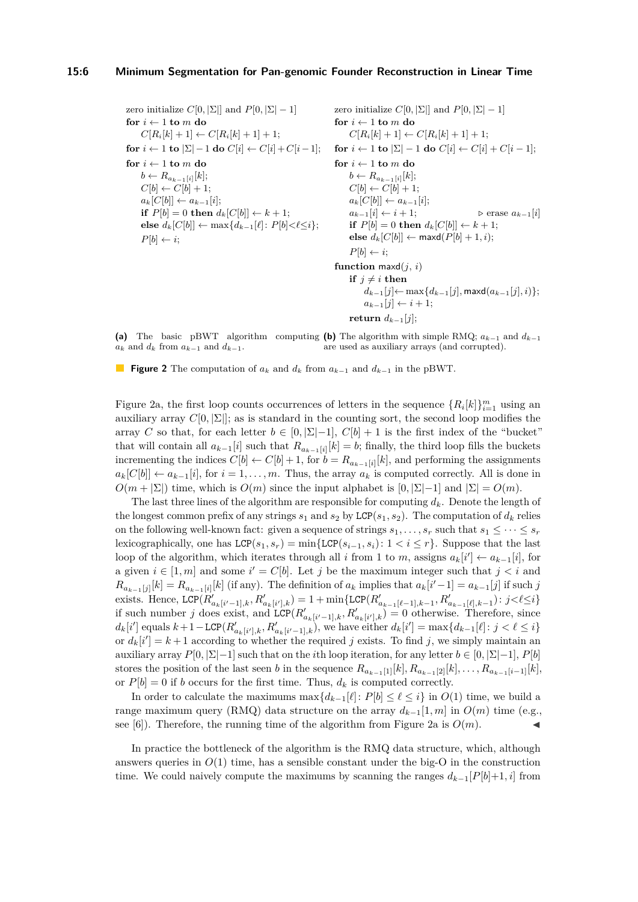#### **15:6 Minimum Segmentation for Pan-genomic Founder Reconstruction in Linear Time**

<span id="page-5-0"></span>zero initialize  $C[0, |\Sigma|]$  and  $P[0, |\Sigma| - 1]$ **for**  $i \leftarrow 1$  **to**  $m$  **do**  $C[R_i[k] + 1] \leftarrow C[R_i[k] + 1] + 1;$ **for**  $i \leftarrow 1$  **to**  $|\Sigma| - 1$  **do**  $C[i] \leftarrow C[i] + C[i-1]$ ;  $i \leftarrow 1$  to  $m$  do  $b \leftarrow R_{a_{k-1}[i]}[k];$  $C[b] \leftarrow C[b] + 1;$  $a_k[C[b]] \leftarrow a_{k-1}[i];$ **if**  $P[b] = 0$  **then**  $d_k[C[b]] \leftarrow k+1$ ; **else**  $d_k[C[b]] \leftarrow \max\{d_{k-1}[\ell]: P[b] < \ell \leq i\};$  $P[b] \leftarrow i$ ; zero initialize  $C[0, \vert \Sigma \vert]$  and  $P[0, \vert \Sigma \vert -1]$ for  $i \leftarrow 1$  to  $m$  do  $C[R_i[k] + 1] \leftarrow C[R_i[k] + 1] + 1;$ **for**  $i \leftarrow 1$  **to**  $|\Sigma| - 1$  **do**  $C[i] \leftarrow C[i] + C[i-1]$ ;  $\mathbf{for} \ i \leftarrow 1 \ \mathbf{to} \ m \ \mathbf{do}$  $b \leftarrow R_{a_{k-1}[i]}[k];$  $C[b] \leftarrow C[b] + 1;$  $a_k[C[b]] \leftarrow a_{k-1}[i];$  $a_{k-1}[i] \leftarrow i+1;$   $\triangleright$  erase  $a_{k-1}[i]$ **if**  $P[b] = 0$  **then**  $d_k[C[b]] \leftarrow k + 1$ ;  $\mathbf{else} \ d_k[C[b]] \leftarrow \mathsf{maxd}(P[b] + 1, i);$  $P[b] \leftarrow i$ ; **function** maxd(*j*, *i*) **if**  $j \neq i$  **then**  $d_{k-1}[j]$ ← max $\{d_{k-1}[j], \text{maxd}(a_{k-1}[j], i)\};$  $a_{k-1}[j] \leftarrow i+1;$ 

**(a)** The basic pBWT algorithm computing **(b)** The algorithm with simple RMQ;  $a_{k-1}$  and  $d_{k-1}$  $a_k$  and  $d_k$  from  $a_{k-1}$  and  $d_{k-1}$ . are used as auxiliary arrays (and corrupted).

**return**  $d_{k-1}[j]$ ;

**Figure 2** The computation of *a<sup>k</sup>* and *d<sup>k</sup>* from *ak*−<sup>1</sup> and *dk*−<sup>1</sup> in the pBWT.

Figure [2a,](#page-5-0) the first loop counts occurrences of letters in the sequence  ${R_i[k]}_{i=1}^m$  using an auxiliary array  $C[0, \Sigma]$ ; as is standard in the counting sort, the second loop modifies the array *C* so that, for each letter  $b \in [0, \vert \Sigma \vert -1]$ ,  $C[b] + 1$  is the first index of the "bucket" that will contain all  $a_{k-1}[i]$  such that  $R_{a_{k-1}[i]}[k] = b$ ; finally, the third loop fills the buckets incrementing the indices  $C[b] \leftarrow C[b] + 1$ , for  $b = R_{a_{k-1}[i]}[k]$ , and performing the assignments  $a_k[C[b]] \leftarrow a_{k-1}[i]$ , for  $i = 1, \ldots, m$ . Thus, the array  $a_k$  is computed correctly. All is done in  $O(m + |\Sigma|)$  time, which is  $O(m)$  since the input alphabet is  $[0, |\Sigma| - 1]$  and  $|\Sigma| = O(m)$ .

The last three lines of the algorithm are responsible for computing *dk*. Denote the length of the longest common prefix of any strings  $s_1$  and  $s_2$  by LCP( $s_1, s_2$ ). The computation of  $d_k$  relies on the following well-known fact: given a sequence of strings  $s_1, \ldots, s_r$  such that  $s_1 \leq \cdots \leq s_r$ lexicographically, one has  $LCP(s_1, s_r) = \min\{LCP(s_{i-1}, s_i): 1 < i \leq r\}$ . Suppose that the last loop of the algorithm, which iterates through all *i* from 1 to *m*, assigns  $a_k[i'] \leftarrow a_{k-1}[i]$ , for a given  $i \in [1, m]$  and some  $i' = C[b]$ . Let *j* be the maximum integer such that  $j < i$  and  $R_{a_{k-1}[j]}[k] = R_{a_{k-1}[i]}[k]$  (if any). The definition of  $a_k$  implies that  $a_k[i'-1] = a_{k-1}[j]$  if such j exists. Hence,  $LCP(R'_{a_k[i'-1],k}, R'_{a_k[i'],k}) = 1 + \min\{LCP(R'_{a_{k-1}[\ell-1],k-1}, R'_{a_{k-1}[\ell],k-1}) : j < \ell \leq i\}$ if such number *j* does exist, and  $\mathsf{LCP}(R'_{a_k[i'-1],k}, R'_{a_k[i'],k}) = 0$  otherwise. Therefore, since  $d_k[i']$  equals  $k+1-\text{LCP}(R'_{a_k[i'],k}, R'_{a_k[i'-1],k}),$  we have either  $d_k[i'] = \max\{d_{k-1}[\ell]: j < \ell \leq i\}$ or  $d_k[i'] = k+1$  according to whether the required *j* exists. To find *j*, we simply maintain an auxiliary array  $P[0, |\Sigma| - 1]$  such that on the *i*th loop iteration, for any letter  $b \in [0, |\Sigma| - 1]$ ,  $P[b]$ stores the position of the last seen *b* in the sequence  $R_{a_{k-1}[1]}[k], R_{a_{k-1}[2]}[k], \ldots, R_{a_{k-1}[i-1]}[k],$ or  $P[b] = 0$  if *b* occurs for the first time. Thus,  $d_k$  is computed correctly.

In order to calculate the maximums  $\max\{d_{k-1}[\ell]: P[b] \leq \ell \leq i\}$  in  $O(1)$  time, we build a range maximum query (RMQ) data structure on the array  $d_{k-1}[1, m]$  in  $O(m)$  time (e.g., see [\[6\]](#page-12-13)). Therefore, the running time of the algorithm from Figure [2a](#page-5-0) is  $O(m)$ .

In practice the bottleneck of the algorithm is the RMQ data structure, which, although answers queries in  $O(1)$  time, has a sensible constant under the big-O in the construction time. We could naively compute the maximums by scanning the ranges  $d_{k-1}[P[b]+1,i]$  from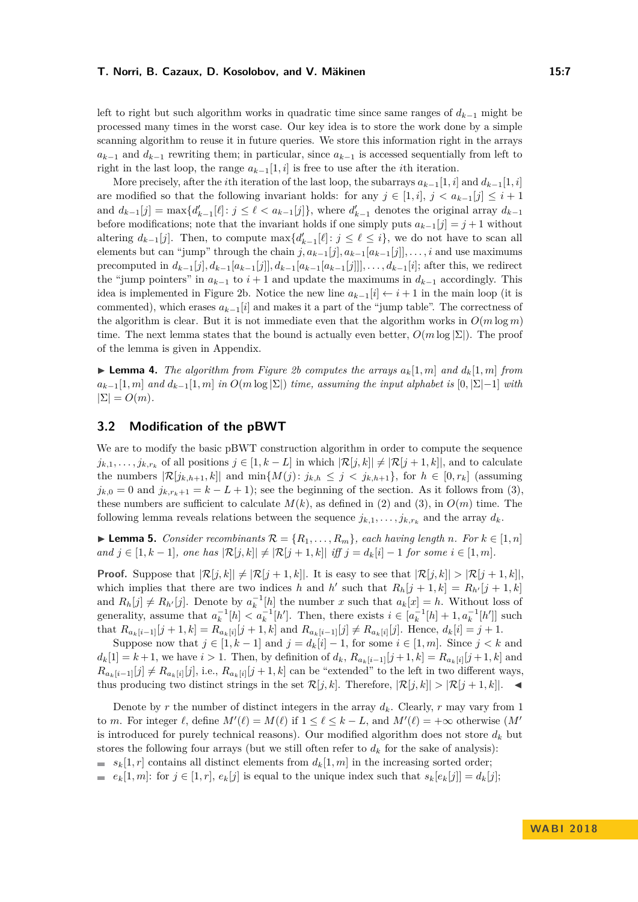left to right but such algorithm works in quadratic time since same ranges of *dk*−<sup>1</sup> might be processed many times in the worst case. Our key idea is to store the work done by a simple scanning algorithm to reuse it in future queries. We store this information right in the arrays  $a_{k-1}$  and  $d_{k-1}$  rewriting them; in particular, since  $a_{k-1}$  is accessed sequentially from left to right in the last loop, the range  $a_{k-1}[1, i]$  is free to use after the *i*th iteration.

More precisely, after the *i*th iteration of the last loop, the subarrays  $a_{k-1}[1, i]$  and  $d_{k-1}[1, i]$ are modified so that the following invariant holds: for any  $j \in [1, i], j < a_{k-1}[j] \leq i+1$ and  $d_{k-1}[j] = \max\{d'_{k-1}[\ell]: j \leq \ell < a_{k-1}[j]\}$ , where  $d'_{k-1}$  denotes the original array  $d_{k-1}$ before modifications; note that the invariant holds if one simply puts  $a_{k-1}[j] = j+1$  without altering  $d_{k-1}[j]$ . Then, to compute  $\max\{d'_{k-1}[\ell]: j \leq \ell \leq i\}$ , we do not have to scan all elements but can "jump" through the chain  $j, a_{k-1}[j], a_{k-1}[a_{k-1}[j]], \ldots, i$  and use maximums precomputed in  $d_{k-1}[j], d_{k-1}[a_{k-1}[j]], d_{k-1}[a_{k-1}[a_{k-1}[j]]], \ldots, d_{k-1}[i]$ ; after this, we redirect the "jump pointers" in  $a_{k-1}$  to  $i+1$  and update the maximums in  $d_{k-1}$  accordingly. This idea is implemented in Figure [2b.](#page-5-0) Notice the new line  $a_{k-1}[i] \leftarrow i+1$  in the main loop (it is commented), which erases  $a_{k-1}[i]$  and makes it a part of the "jump table". The correctness of the algorithm is clear. But it is not immediate even that the algorithm works in  $O(m \log m)$ time. The next lemma states that the bound is actually even better,  $O(m \log |\Sigma|)$ . The proof of the lemma is given in Appendix.

<span id="page-6-1"></span> $\blacktriangleright$  **Lemma 4.** *The algorithm from Figure [2b](#page-5-0) computes the arrays*  $a_k[1,m]$  *and*  $d_k[1,m]$  *from*  $a_{k-1}[1, m]$  *and*  $d_{k-1}[1, m]$  *in*  $O(m \log |\Sigma|)$  *time, assuming the input alphabet is*  $[0, |\Sigma| - 1]$  *with*  $|\Sigma| = O(m)$ .

### **3.2 Modification of the pBWT**

We are to modify the basic pBWT construction algorithm in order to compute the sequence  $j_{k,1}, \ldots, j_{k,r_k}$  of all positions  $j \in [1, k - L]$  in which  $|\mathcal{R}[j,k]| \neq |\mathcal{R}[j + 1, k]|$ , and to calculate the numbers  $|\mathcal{R}[j_{k,h+1},k]|$  and  $\min\{M(j): j_{k,h} \leq j < j_{k,h+1}\}\)$ , for  $h \in [0,r_k]$  (assuming  $j_{k,0} = 0$  and  $j_{k,r_k+1} = k - L + 1$ ; see the beginning of the section. As it follows from [\(3\)](#page-3-1), these numbers are sufficient to calculate  $M(k)$ , as defined in [\(2\)](#page-3-0) and [\(3\)](#page-3-1), in  $O(m)$  time. The following lemma reveals relations between the sequence  $j_{k,1}, \ldots, j_{k,r_k}$  and the array  $d_k$ .

<span id="page-6-0"></span>▶ **Lemma 5.** *Consider recombinants*  $\mathcal{R} = \{R_1, \ldots, R_m\}$ *, each having length n. For*  $k \in [1, n]$  $\{and\ j \in [1, k-1],\$  one has  $|\mathcal{R}[j,k]| \neq |\mathcal{R}[j+1,k]| \text{ iff } j = d_k[i]-1 \text{ for some } i \in [1, m].\}$ 

**Proof.** Suppose that  $|\mathcal{R}[j,k]| \neq |\mathcal{R}[j+1,k]|$ . It is easy to see that  $|\mathcal{R}[j,k]| > |\mathcal{R}[j+1,k]|$ , which implies that there are two indices *h* and *h*' such that  $R_h[j+1,k] = R_{h'}[j+1,k]$ and  $R_h[j] \neq R_{h'}[j]$ . Denote by  $a_k^{-1}[h]$  the number *x* such that  $a_k[x] = h$ . Without loss of generality, assume that  $a_k^{-1}[h] < a_k^{-1}[h']$ . Then, there exists  $i \in [a_k^{-1}[h] + 1, a_k^{-1}[h']]$  such that  $R_{a_k[i-1]}[j+1,k] = R_{a_k[i]}[j+1,k]$  and  $R_{a_k[i-1]}[j] \neq R_{a_k[i]}[j]$ . Hence,  $d_k[i] = j+1$ .

Suppose now that  $j \in [1, k-1]$  and  $j = d_k[i] - 1$ , for some  $i \in [1, m]$ . Since  $j < k$  and  $d_k[1] = k+1$ , we have  $i > 1$ . Then, by definition of  $d_k$ ,  $R_{a_k[i-1]}[j+1, k] = R_{a_k[i]}[j+1, k]$  and  $R_{a_k[i-1]}[j] \neq R_{a_k[i]}[j]$ , i.e.,  $R_{a_k[i]}[j+1,k]$  can be "extended" to the left in two different ways, thus producing two distinct strings in the set  $\mathcal{R}[j,k]$ . Therefore,  $|\mathcal{R}[j,k]| > |\mathcal{R}[j+1,k]|$ .

Denote by  $r$  the number of distinct integers in the array  $d_k$ . Clearly,  $r$  may vary from 1 to *m*. For integer  $\ell$ , define  $M'(\ell) = M(\ell)$  if  $1 \leq \ell \leq k - L$ , and  $M'(\ell) = +\infty$  otherwise  $(M'(\ell))$ is introduced for purely technical reasons). Our modified algorithm does not store  $d_k$  but stores the following four arrays (but we still often refer to  $d_k$  for the sake of analysis):

 $s_k[1,r]$  contains all distinct elements from  $d_k[1,m]$  in the increasing sorted order;

 $e_k[1,m]$ : for  $j \in [1,r]$ ,  $e_k[j]$  is equal to the unique index such that  $s_k[e_k[j]] = d_k[j]$ ;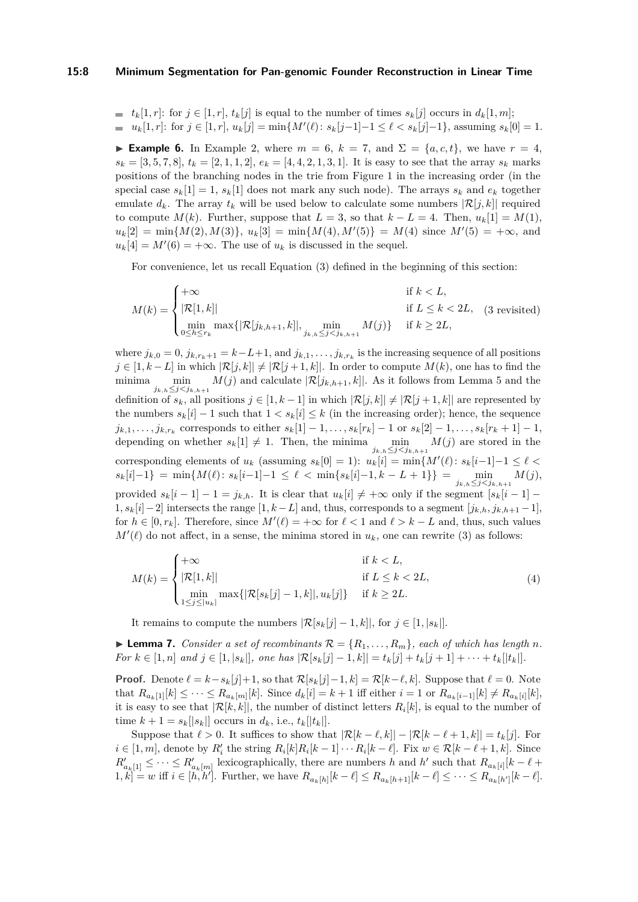#### **15:8 Minimum Segmentation for Pan-genomic Founder Reconstruction in Linear Time**

 $\bullet$  *t*<sub>k</sub>[1*, r*]: for  $j \in [1, r]$ ,  $t_k[j]$  is equal to the number of times  $s_k[j]$  occurs in  $d_k[1, m]$ ;  $u_k[1, r]$ : for  $j \in [1, r]$ ,  $u_k[j] = \min\{M'(\ell) : s_k[j-1]-1 \leq \ell < s_k[j]-1\}$ , assuming  $s_k[0] = 1$ .

**Example 6.** In Example [2,](#page-4-1) where  $m = 6$ ,  $k = 7$ , and  $\Sigma = \{a, c, t\}$ , we have  $r = 4$ ,  $s_k = [3, 5, 7, 8], t_k = [2, 1, 1, 2], e_k = [4, 4, 2, 1, 3, 1].$  It is easy to see that the array  $s_k$  marks positions of the branching nodes in the trie from Figure [1](#page-4-0) in the increasing order (in the special case  $s_k[1] = 1$ ,  $s_k[1]$  does not mark any such node). The arrays  $s_k$  and  $e_k$  together emulate  $d_k$ . The array  $t_k$  will be used below to calculate some numbers  $|\mathcal{R}[j,k]|$  required to compute  $M(k)$ . Further, suppose that  $L = 3$ , so that  $k - L = 4$ . Then,  $u_k[1] = M(1)$ ,  $u_k[2] = \min\{M(2), M(3)\}, u_k[3] = \min\{M(4), M'(5)\} = M(4)$  since  $M'(5) = +\infty$ , and  $u_k[4] = M'(6) = +\infty$ . The use of  $u_k$  is discussed in the sequel.

For convenience, let us recall Equation [\(3\)](#page-3-1) defined in the beginning of this section:

$$
M(k) = \begin{cases} +\infty & \text{if } k < L, \\ |\mathcal{R}[1,k]| & \text{if } L \le k < 2L, \\ \min_{0 \le h \le r_k} \max\{|\mathcal{R}[j_{k,h+1},k]|, \min_{j_{k,h} \le j < j_{k,h+1}} M(j)\} & \text{if } k \ge 2L, \end{cases}
$$
(3 revisited)

where  $j_{k,0} = 0$ ,  $j_{k,r_k+1} = k-L+1$ , and  $j_{k,1}, \ldots, j_{k,r_k}$  is the increasing sequence of all positions *j* ∈ [1, *k* − *L*] in which  $|R[j,k]|$  ≠  $|R[j+1,k]|$ . In order to compute *M*(*k*), one has to find the minima  $\min_{j_{k,h}\leq j < j_{k,h+1}} M(j)$  and calculate  $|\mathcal{R}[j_{k,h+1},k]|$ . As it follows from Lemma [5](#page-6-0) and the definition of  $s_k$ , all positions  $j \in [1, k-1]$  in which  $|\mathcal{R}[j,k]| \neq |\mathcal{R}[j+1,k]|$  are represented by the numbers  $s_k[i] - 1$  such that  $1 < s_k[i] \leq k$  (in the increasing order); hence, the sequence  $j_{k,1},\ldots,j_{k,r_k}$  corresponds to either  $s_k[1]-1,\ldots,s_k[r_k]-1$  or  $s_k[2]-1,\ldots,s_k[r_k+1]-1$ , depending on whether  $s_k[1] \neq 1$ . Then, the minima  $\min_{j_{k,h} \leq j < j_{k,h+1}} M(j)$  are stored in the corresponding elements of  $u_k$  (assuming  $s_k[0] = 1$ ):  $u_k[i] = \min\{M'(\ell): s_k[i-1]-1 \leq \ell$  $s_k[i]-1$ } = min{ $M(\ell): s_k[i-1]-1 \leq \ell < \min\{s_k[i]-1, k-L+1\}\} = \min_{j_{k,h} \leq j < j_{k,h+1}} M(j)$ , provided  $s_k[i-1]-1=j_{k,h}$ . It is clear that  $u_k[i] \neq +\infty$  only if the segment  $[s_k[i-1]-1]$ 1*, sk*[*i*]−2] intersects the range [1*, k* −*L*] and, thus, corresponds to a segment [*jk,h, jk,h*+1 −1], for  $h \in [0, r_k]$ . Therefore, since  $M'(\ell) = +\infty$  for  $\ell < 1$  and  $\ell > k - L$  and, thus, such values  $M'(\ell)$  do not affect, in a sense, the minima stored in  $u_k$ , one can rewrite [\(3\)](#page-3-1) as follows:

<span id="page-7-0"></span>
$$
M(k) = \begin{cases} +\infty & \text{if } k < L, \\ |\mathcal{R}[1,k]| & \text{if } L \le k < 2L, \\ \min_{1 \le j \le |u_k|} \max\{|\mathcal{R}[s_k[j]-1,k]|, u_k[j]\} & \text{if } k \ge 2L. \end{cases}
$$
(4)

It remains to compute the numbers  $|\mathcal{R}[s_k[j]-1,k]|$ , for  $j \in [1, |s_k|]$ .

<span id="page-7-1"></span> $\blacktriangleright$  **Lemma 7.** *Consider a set of recombinants*  $\mathcal{R} = \{R_1, \ldots, R_m\}$ *, each of which has length n.* For  $k \in [1, n]$  and  $j \in [1, |s_k|]$ , one has  $|\mathcal{R}[s_k[j] - 1, k]| = t_k[j] + t_k[j+1] + \cdots + t_k[|t_k|].$ 

**Proof.** Denote  $\ell = k - s_k[j]+1$ , so that  $\mathcal{R}[s_k[j]-1, k] = \mathcal{R}[k-\ell, k]$ . Suppose that  $\ell = 0$ . Note that  $R_{a_k[1]}[k] \leq \cdots \leq R_{a_k[m]}[k]$ . Since  $d_k[i] = k+1$  iff either  $i = 1$  or  $R_{a_k[i-1]}[k] \neq R_{a_k[i]}[k]$ , it is easy to see that  $|\mathcal{R}[k,k]|$ , the number of distinct letters  $R_i[k]$ , is equal to the number of time  $k + 1 = s_k[|s_k|]$  occurs in  $d_k$ , i.e.,  $t_k[|t_k|]$ .

Suppose that  $\ell > 0$ . It suffices to show that  $|\mathcal{R}[k - \ell, k]| - |\mathcal{R}[k - \ell + 1, k]| = t_k[j]$ . For  $i \in [1, m]$ , denote by  $R'_i$  the string  $R_i[k]R_i[k-1] \cdots R_i[k-\ell]$ . Fix  $w \in \mathcal{R}[k-\ell+1, k]$ . Since  $R'_{a_k[1]} \leq \cdots \leq R'_{a_k[m]}$  lexicographically, there are numbers *h* and *h*<sup>*'*</sup> such that  $R_{a_k[i]}[k-\ell+1]$  $[1, k] = w$  iff  $i \in [h, h']$ . Further, we have  $R_{a_k[h]}[k - \ell] \leq R_{a_k[h+1]}[k - \ell] \leq \cdots \leq R_{a_k[h']}[k - \ell]$ .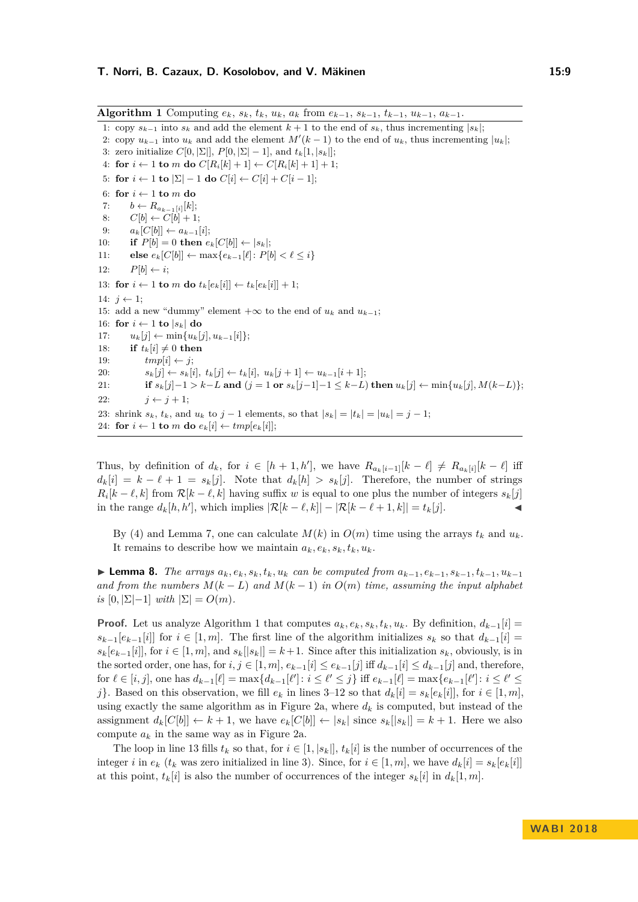<span id="page-8-0"></span>**Algorithm 1** Computing  $e_k$ ,  $s_k$ ,  $t_k$ ,  $u_k$ ,  $a_k$  from  $e_{k-1}$ ,  $s_{k-1}$ ,  $t_{k-1}$ ,  $u_{k-1}$ ,  $a_{k-1}$ . 1: copy  $s_{k-1}$  into  $s_k$  and add the element  $k+1$  to the end of  $s_k$ , thus incrementing  $|s_k|$ ; 2: copy  $u_{k-1}$  into  $u_k$  and add the element  $M'(k-1)$  to the end of  $u_k$ , thus incrementing  $|u_k|$ ; 3: zero initialize  $C[0, \Sigma], P[0, \Sigma] - 1$ , and  $t_k[1, |s_k|]$ ; 4: **for**  $i \leftarrow 1$  **to**  $m$  **do**  $C[R_i[k]+1] \leftarrow C[R_i[k]+1]+1;$ 5: **for**  $i \leftarrow 1$  **to**  $|\Sigma| - 1$  **do**  $C[i] \leftarrow C[i] + C[i-1]$ ; 6: for  $i \leftarrow 1$  to  $m$  do 7:  $b \leftarrow R_{a_{k-1}[i]}[k];$ 8:  $C[b] \leftarrow C[b] + 1;$ 9:  $a_k[C[b]] \leftarrow a_{k-1}[i];$ 10: **if**  $P[b] = 0$  **then**  $e_k[C[b]] \leftarrow |s_k|$ ; 11: **else**  $e_k[C[b]] \leftarrow \max\{e_{k-1}[\ell]: P[b] < \ell \leq i\}$ 12:  $P[b] \leftarrow i;$ 13: **for**  $i \leftarrow 1$  **to**  $m$  **do**  $t_k[e_k[i]] \leftarrow t_k[e_k[i]] + 1;$ 14:  $j \leftarrow 1$ ; 15: add a new "dummy" element  $+\infty$  to the end of  $u_k$  and  $u_{k-1}$ ; 16: **for**  $i \leftarrow 1$  **to**  $|s_k|$  **do** 17: *uk*[*j*] ← min{*uk*[*j*]*, uk*−1[*i*]}; 18: **if**  $t_k[i] \neq 0$  then 19:  $tmp[i] \leftarrow j;$ 20:  $s_k[j] \leftarrow s_k[i], t_k[j] \leftarrow t_k[i], u_k[j+1] \leftarrow u_{k-1}[i+1];$ 

21: if  $s_k[j]-1 > k-L$  and  $(j = 1 \text{ or } s_k[j-1]-1 \leq k-L)$  then  $u_k[j] \leftarrow \min\{u_k[j], M(k-L)\};$ 22:  $i \leftarrow i + 1$ ; 23: shrink  $s_k$ ,  $t_k$ , and  $u_k$  to  $j-1$  elements, so that  $|s_k| = |t_k| = |u_k| = j-1$ ;

24: **for**  $i \leftarrow 1$  **to**  $m$  **do**  $e_k[i] \leftarrow tmp[e_k[i]]$ ;

Thus, by definition of  $d_k$ , for  $i \in [h+1, h']$ , we have  $R_{a_k[i-1]}[k-\ell] \neq R_{a_k[i]}[k-\ell]$  iff  $d_k[i] = k - \ell + 1 = s_k[j]$ . Note that  $d_k[h] > s_k[j]$ . Therefore, the number of strings  $R_i[k - \ell, k]$  from  $\mathcal{R}[k - \ell, k]$  having suffix *w* is equal to one plus the number of integers  $s_k[j]$ in the range *dk*[*h, h*<sup>0</sup> ], which implies |R[*k* − *`, k*]| − |R[*k* − *`* + 1*, k*]| = *tk*[*j*]. J

By [\(4\)](#page-7-0) and Lemma [7,](#page-7-1) one can calculate  $M(k)$  in  $O(m)$  time using the arrays  $t_k$  and  $u_k$ . It remains to describe how we maintain  $a_k, e_k, s_k, t_k, u_k$ .

<span id="page-8-1"></span>**Lemma 8.** The arrays  $a_k, e_k, s_k, t_k, u_k$  can be computed from  $a_{k-1}, e_{k-1}, s_{k-1}, t_{k-1}, u_{k-1}$ *and from the numbers*  $M(k - L)$  *and*  $M(k - 1)$  *in*  $O(m)$  *time, assuming the input alphabet*  $i\in [0, |\Sigma| - 1]$  *with*  $|\Sigma| = O(m)$ *.* 

**Proof.** Let us analyze Algorithm [1](#page-8-0) that computes  $a_k, e_k, s_k, t_k, u_k$ . By definition,  $d_{k-1}[i] =$  $s_{k-1}[e_{k-1}[i]]$  for  $i \in [1, m]$ . The first line of the algorithm initializes  $s_k$  so that  $d_{k-1}[i] =$  $s_k[e_{k-1}[i]]$ , for  $i \in [1, m]$ , and  $s_k[|s_k|] = k+1$ . Since after this initialization  $s_k$ , obviously, is in the sorted order, one has, for  $i, j \in [1, m]$ ,  $e_{k-1}[i] \leq e_{k-1}[j]$  iff  $d_{k-1}[i] \leq d_{k-1}[j]$  and, therefore, for  $\ell \in [i, j]$ , one has  $d_{k-1}[\ell] = \max\{d_{k-1}[\ell'] : i \leq \ell' \leq j\}$  iff  $e_{k-1}[\ell] = \max\{e_{k-1}[\ell'] : i \leq \ell' \leq j\}$ *j*}. Based on this observation, we fill  $e_k$  in lines [3–12](#page-7-1) so that  $d_k[i] = s_k[e_k[i]]$ , for  $i \in [1, m]$ , using exactly the same algorithm as in Figure [2a,](#page-5-0) where  $d_k$  is computed, but instead of the assignment  $d_k[C[b]] \leftarrow k+1$ , we have  $e_k[C[b]] \leftarrow |s_k|$  since  $s_k[|s_k|] = k+1$ . Here we also compute  $a_k$  in the same way as in Figure [2a.](#page-5-0)

The loop in line [13](#page-7-1) fills  $t_k$  so that, for  $i \in [1, |s_k|], t_k[i]$  is the number of occurrences of the integer *i* in  $e_k$  ( $t_k$  was zero initialized in line [3\)](#page-7-1). Since, for  $i \in [1, m]$ , we have  $d_k[i] = s_k[e_k[i]]$ at this point,  $t_k[i]$  is also the number of occurrences of the integer  $s_k[i]$  in  $d_k[1,m]$ .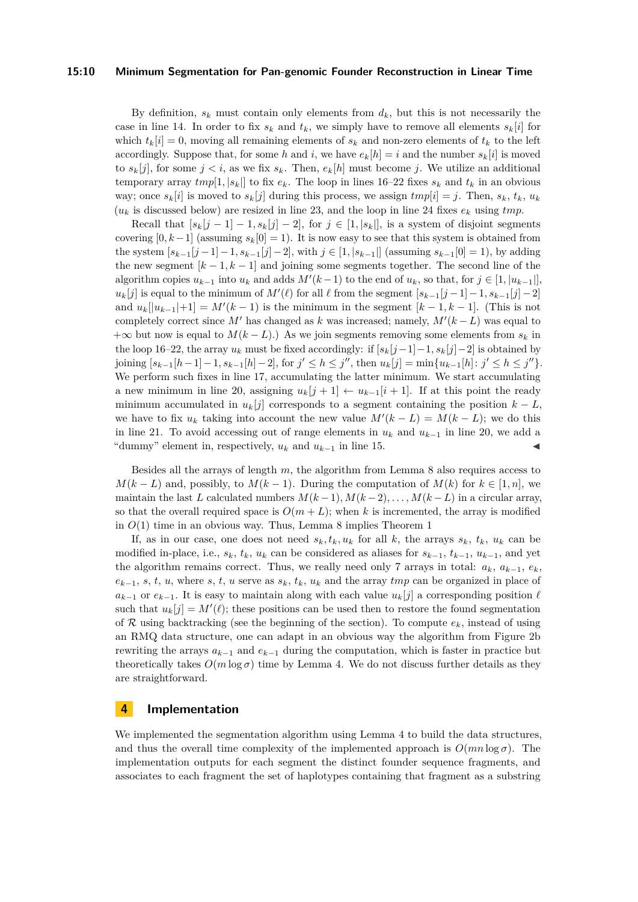#### **15:10 Minimum Segmentation for Pan-genomic Founder Reconstruction in Linear Time**

By definition,  $s_k$  must contain only elements from  $d_k$ , but this is not necessarily the case in line [14.](#page-7-1) In order to fix  $s_k$  and  $t_k$ , we simply have to remove all elements  $s_k[i]$  for which  $t_k[i] = 0$ , moving all remaining elements of  $s_k$  and non-zero elements of  $t_k$  to the left accordingly. Suppose that, for some *h* and *i*, we have  $e_k[h] = i$  and the number  $s_k[i]$  is moved to  $s_k[j]$ , for some  $j < i$ , as we fix  $s_k$ . Then,  $e_k[h]$  must become *j*. We utilize an additional temporary array  $tmp[1, |s_k|]$  to fix  $e_k$ . The loop in lines [16–22](#page-7-1) fixes  $s_k$  and  $t_k$  in an obvious way; once  $s_k[i]$  is moved to  $s_k[j]$  during this process, we assign  $tmp[i] = j$ . Then,  $s_k$ ,  $t_k$ ,  $u_k$  $(u_k)$  is discussed below) are resized in line [23,](#page-7-1) and the loop in line [24](#page-7-1) fixes  $e_k$  using *tmp*.

Recall that  $[s_k[j-1]-1,s_k[j]-2]$ , for  $j \in [1,|s_k|]$ , is a system of disjoint segments covering  $[0, k-1]$  (assuming  $s_k[0] = 1$ ). It is now easy to see that this system is obtained from the system  $[s_{k-1}(j-1)-1, s_{k-1}(j)-2]$ , with  $j \in [1, |s_{k-1}|]$  (assuming  $s_{k-1}(0) = 1$ ), by adding the new segment  $[k-1, k-1]$  and joining some segments together. The second line of the algorithm copies  $u_{k-1}$  into  $u_k$  and adds  $M'(k-1)$  to the end of  $u_k$ , so that, for  $j \in [1, |u_{k-1}|]$ ,  $u_k[j]$  is equal to the minimum of  $M'(\ell)$  for all  $\ell$  from the segment  $[s_{k-1}[j-1]-1, s_{k-1}[j]-2]$ and  $u_k[[u_{k-1}]+1] = M'(k-1)$  is the minimum in the segment  $[k-1, k-1]$ . (This is not completely correct since  $M'$  has changed as  $k$  was increased; namely,  $M'(k - L)$  was equal to  $+\infty$  but now is equal to  $M(k - L)$ .) As we join segments removing some elements from  $s_k$  in the loop [16–22,](#page-7-1) the array  $u_k$  must be fixed accordingly: if  $[s_k[j-1]-1, s_k[j]-2]$  is obtained by joining  $[s_{k-1}[h-1]-1, s_{k-1}[h]-2]$ , for  $j' \leq h \leq j''$ , then  $u_k[j] = \min\{u_{k-1}[h]: j' \leq h \leq j''\}$ . We perform such fixes in line [17,](#page-7-1) accumulating the latter minimum. We start accumulating a new minimum in line [20,](#page-7-1) assigning  $u_k[j+1] \leftarrow u_{k-1}[i+1]$ . If at this point the ready minimum accumulated in  $u_k[j]$  corresponds to a segment containing the position  $k - L$ , we have to fix  $u_k$  taking into account the new value  $M'(k - L) = M(k - L)$ ; we do this in line [21.](#page-7-1) To avoid accessing out of range elements in  $u_k$  and  $u_{k-1}$  in line [20,](#page-7-1) we add a "dummy" element in, respectively,  $u_k$  and  $u_{k-1}$  in line [15.](#page-7-1)

Besides all the arrays of length *m*, the algorithm from Lemma [8](#page-8-1) also requires access to  $M(k - L)$  and, possibly, to  $M(k - 1)$ . During the computation of  $M(k)$  for  $k \in [1, n]$ , we maintain the last *L* calculated numbers  $M(k-1), M(k-2), \ldots, M(k-L)$  in a circular array, so that the overall required space is  $O(m+L)$ ; when k is incremented, the array is modified in  $O(1)$  time in an obvious way. Thus, Lemma [8](#page-8-1) implies Theorem [1](#page-3-2)

If, as in our case, one does not need  $s_k, t_k, u_k$  for all k, the arrays  $s_k, t_k, u_k$  can be modified in-place, i.e.,  $s_k$ ,  $t_k$ ,  $u_k$  can be considered as aliases for  $s_{k-1}$ ,  $t_{k-1}$ ,  $u_{k-1}$ , and yet the algorithm remains correct. Thus, we really need only 7 arrays in total:  $a_k$ ,  $a_{k-1}$ ,  $e_k$ ,  $e_{k-1}$ , *s*, *t*, *u*, where *s*, *t*, *u* serve as  $s_k$ ,  $t_k$ ,  $u_k$  and the array *tmp* can be organized in place of  $a_{k-1}$  or  $e_{k-1}$ . It is easy to maintain along with each value  $u_k[j]$  a corresponding position  $\ell$ such that  $u_k[j] = M'(\ell)$ ; these positions can be used then to restore the found segmentation of  $R$  using backtracking (see the beginning of the section). To compute  $e_k$ , instead of using an RMQ data structure, one can adapt in an obvious way the algorithm from Figure [2b](#page-5-0) rewriting the arrays  $a_{k-1}$  and  $e_{k-1}$  during the computation, which is faster in practice but theoretically takes  $O(m \log \sigma)$  time by Lemma [4.](#page-6-1) We do not discuss further details as they are straightforward.

### <span id="page-9-0"></span>**4 Implementation**

We implemented the segmentation algorithm using Lemma [4](#page-6-1) to build the data structures, and thus the overall time complexity of the implemented approach is  $O(mn \log \sigma)$ . The implementation outputs for each segment the distinct founder sequence fragments, and associates to each fragment the set of haplotypes containing that fragment as a substring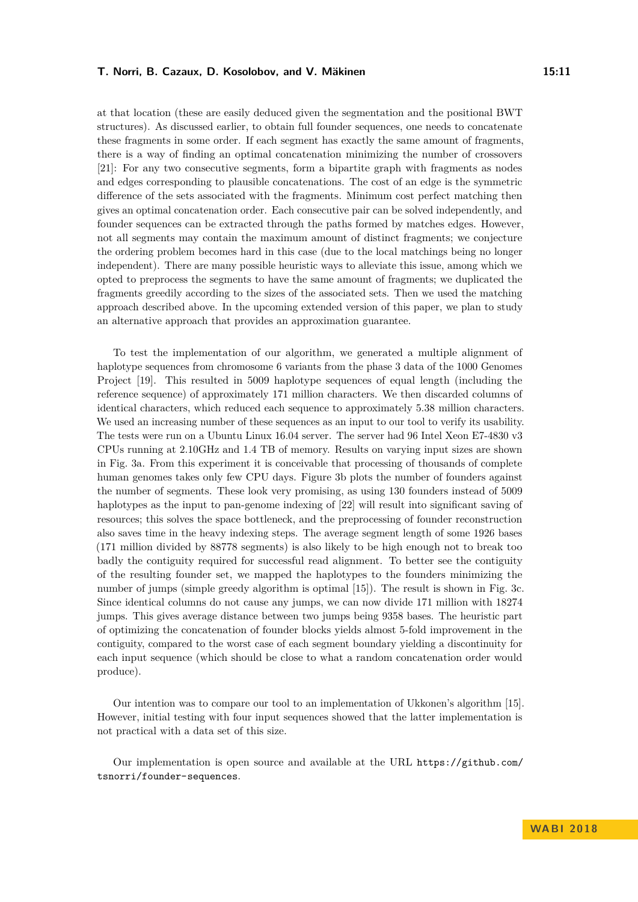at that location (these are easily deduced given the segmentation and the positional BWT structures). As discussed earlier, to obtain full founder sequences, one needs to concatenate these fragments in some order. If each segment has exactly the same amount of fragments, there is a way of finding an optimal concatenation minimizing the number of crossovers [\[21\]](#page-13-7): For any two consecutive segments, form a bipartite graph with fragments as nodes and edges corresponding to plausible concatenations. The cost of an edge is the symmetric difference of the sets associated with the fragments. Minimum cost perfect matching then gives an optimal concatenation order. Each consecutive pair can be solved independently, and founder sequences can be extracted through the paths formed by matches edges. However, not all segments may contain the maximum amount of distinct fragments; we conjecture the ordering problem becomes hard in this case (due to the local matchings being no longer independent). There are many possible heuristic ways to alleviate this issue, among which we opted to preprocess the segments to have the same amount of fragments; we duplicated the fragments greedily according to the sizes of the associated sets. Then we used the matching approach described above. In the upcoming extended version of this paper, we plan to study an alternative approach that provides an approximation guarantee.

To test the implementation of our algorithm, we generated a multiple alignment of haplotype sequences from chromosome 6 variants from the phase 3 data of the 1000 Genomes Project [\[19\]](#page-13-0). This resulted in 5009 haplotype sequences of equal length (including the reference sequence) of approximately 171 million characters. We then discarded columns of identical characters, which reduced each sequence to approximately 5.38 million characters. We used an increasing number of these sequences as an input to our tool to verify its usability. The tests were run on a Ubuntu Linux 16.04 server. The server had 96 Intel Xeon E7-4830 v3 CPUs running at 2.10GHz and 1.4 TB of memory. Results on varying input sizes are shown in Fig. [3a.](#page-11-0) From this experiment it is conceivable that processing of thousands of complete human genomes takes only few CPU days. Figure [3b](#page-11-0) plots the number of founders against the number of segments. These look very promising, as using 130 founders instead of 5009 haplotypes as the input to pan-genome indexing of [\[22\]](#page-13-5) will result into significant saving of resources; this solves the space bottleneck, and the preprocessing of founder reconstruction also saves time in the heavy indexing steps. The average segment length of some 1926 bases (171 million divided by 88778 segments) is also likely to be high enough not to break too badly the contiguity required for successful read alignment. To better see the contiguity of the resulting founder set, we mapped the haplotypes to the founders minimizing the number of jumps (simple greedy algorithm is optimal [\[15\]](#page-13-8)). The result is shown in Fig. [3c.](#page-11-0) Since identical columns do not cause any jumps, we can now divide 171 million with 18274 jumps. This gives average distance between two jumps being 9358 bases. The heuristic part of optimizing the concatenation of founder blocks yields almost 5-fold improvement in the contiguity, compared to the worst case of each segment boundary yielding a discontinuity for each input sequence (which should be close to what a random concatenation order would produce).

Our intention was to compare our tool to an implementation of Ukkonen's algorithm [\[15\]](#page-13-8). However, initial testing with four input sequences showed that the latter implementation is not practical with a data set of this size.

Our implementation is open source and available at the URL [https://github.com/](https://github.com/tsnorri/founder-sequences) [tsnorri/founder-sequences](https://github.com/tsnorri/founder-sequences).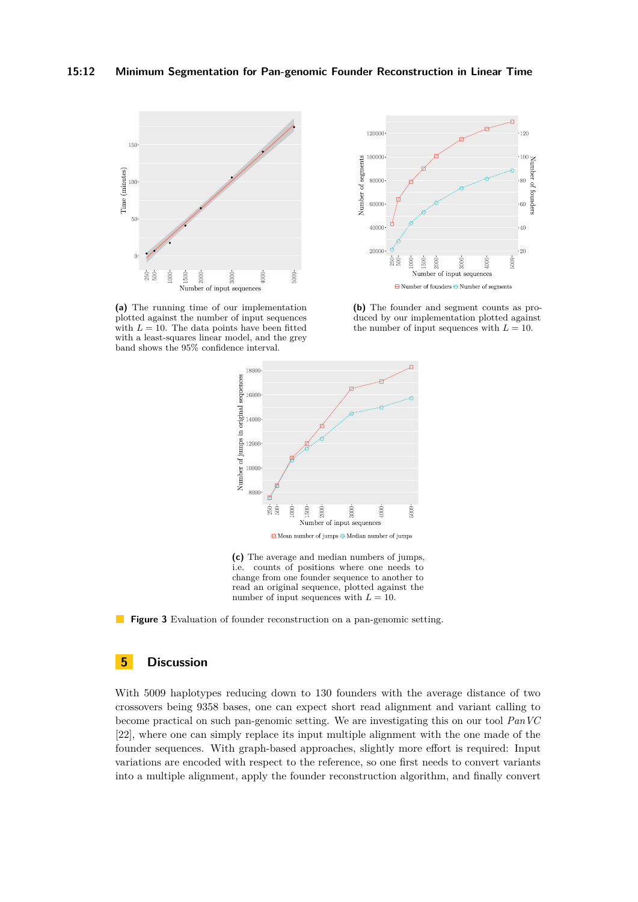<span id="page-11-0"></span>

**(a)** The running time of our implementation plotted against the number of input sequences with  $L = 10$ . The data points have been fitted with a least-squares linear model, and the grey band shows the 95% confidence interval.



**(b)** The founder and segment counts as produced by our implementation plotted against the number of input sequences with  $L = 10$ .



**(c)** The average and median numbers of jumps, i.e. counts of positions where one needs to change from one founder sequence to another to read an original sequence, plotted against the number of input sequences with  $L = 10$ .



## **5 Discussion**

With 5009 haplotypes reducing down to 130 founders with the average distance of two crossovers being 9358 bases, one can expect short read alignment and variant calling to become practical on such pan-genomic setting. We are investigating this on our tool *PanVC* [\[22\]](#page-13-5), where one can simply replace its input multiple alignment with the one made of the founder sequences. With graph-based approaches, slightly more effort is required: Input variations are encoded with respect to the reference, so one first needs to convert variants into a multiple alignment, apply the founder reconstruction algorithm, and finally convert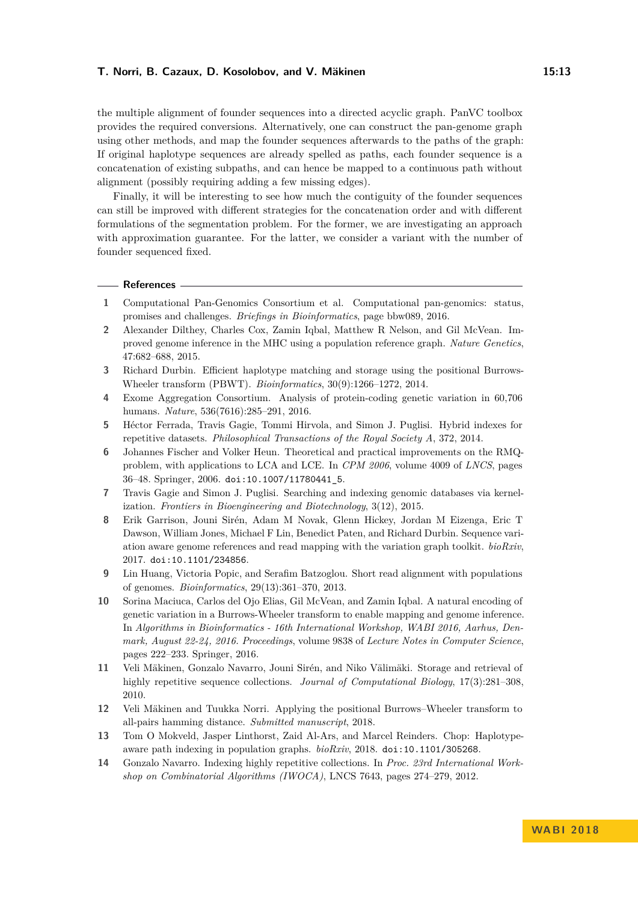the multiple alignment of founder sequences into a directed acyclic graph. PanVC toolbox provides the required conversions. Alternatively, one can construct the pan-genome graph using other methods, and map the founder sequences afterwards to the paths of the graph: If original haplotype sequences are already spelled as paths, each founder sequence is a concatenation of existing subpaths, and can hence be mapped to a continuous path without alignment (possibly requiring adding a few missing edges).

Finally, it will be interesting to see how much the contiguity of the founder sequences can still be improved with different strategies for the concatenation order and with different formulations of the segmentation problem. For the former, we are investigating an approach with approximation guarantee. For the latter, we consider a variant with the number of founder sequenced fixed.

#### **References**

- <span id="page-12-0"></span>**1** Computational Pan-Genomics Consortium et al. Computational pan-genomics: status, promises and challenges. *Briefings in Bioinformatics*, page bbw089, 2016.
- <span id="page-12-3"></span>**2** Alexander Dilthey, Charles Cox, Zamin Iqbal, Matthew R Nelson, and Gil McVean. Improved genome inference in the MHC using a population reference graph. *Nature Genetics*, 47:682–688, 2015.
- <span id="page-12-11"></span>**3** Richard Durbin. Efficient haplotype matching and storage using the positional Burrows-Wheeler transform (PBWT). *Bioinformatics*, 30(9):1266–1272, 2014.
- <span id="page-12-1"></span>**4** Exome Aggregation Consortium. Analysis of protein-coding genetic variation in 60,706 humans. *Nature*, 536(7616):285–291, 2016.
- <span id="page-12-9"></span>**5** Héctor Ferrada, Travis Gagie, Tommi Hirvola, and Simon J. Puglisi. Hybrid indexes for repetitive datasets. *Philosophical Transactions of the Royal Society A*, 372, 2014.
- <span id="page-12-13"></span>**6** Johannes Fischer and Volker Heun. Theoretical and practical improvements on the RMQproblem, with applications to LCA and LCE. In *CPM 2006*, volume 4009 of *LNCS*, pages 36–48. Springer, 2006. [doi:10.1007/11780441\\_5](http://dx.doi.org/10.1007/11780441_5).
- <span id="page-12-10"></span>**7** Travis Gagie and Simon J. Puglisi. Searching and indexing genomic databases via kernelization. *Frontiers in Bioengineering and Biotechnology*, 3(12), 2015.
- <span id="page-12-5"></span>**8** Erik Garrison, Jouni Sirén, Adam M Novak, Glenn Hickey, Jordan M Eizenga, Eric T Dawson, William Jones, Michael F Lin, Benedict Paten, and Richard Durbin. Sequence variation aware genome references and read mapping with the variation graph toolkit. *bioRxiv*, 2017. [doi:10.1101/234856](http://dx.doi.org/10.1101/234856).
- <span id="page-12-2"></span>**9** Lin Huang, Victoria Popic, and Serafim Batzoglou. Short read alignment with populations of genomes. *Bioinformatics*, 29(13):361–370, 2013.
- <span id="page-12-4"></span>**10** Sorina Maciuca, Carlos del Ojo Elias, Gil McVean, and Zamin Iqbal. A natural encoding of genetic variation in a Burrows-Wheeler transform to enable mapping and genome inference. In *Algorithms in Bioinformatics - 16th International Workshop, WABI 2016, Aarhus, Denmark, August 22-24, 2016. Proceedings*, volume 9838 of *Lecture Notes in Computer Science*, pages 222–233. Springer, 2016.
- <span id="page-12-7"></span>**11** Veli Mäkinen, Gonzalo Navarro, Jouni Sirén, and Niko Välimäki. Storage and retrieval of highly repetitive sequence collections. *Journal of Computational Biology*, 17(3):281–308, 2010.
- <span id="page-12-12"></span>**12** Veli Mäkinen and Tuukka Norri. Applying the positional Burrows–Wheeler transform to all-pairs hamming distance. *Submitted manuscript*, 2018.
- <span id="page-12-6"></span>**13** Tom O Mokveld, Jasper Linthorst, Zaid Al-Ars, and Marcel Reinders. Chop: Haplotypeaware path indexing in population graphs. *bioRxiv*, 2018. [doi:10.1101/305268](http://dx.doi.org/10.1101/305268).
- <span id="page-12-8"></span>**14** Gonzalo Navarro. Indexing highly repetitive collections. In *Proc. 23rd International Workshop on Combinatorial Algorithms (IWOCA)*, LNCS 7643, pages 274–279, 2012.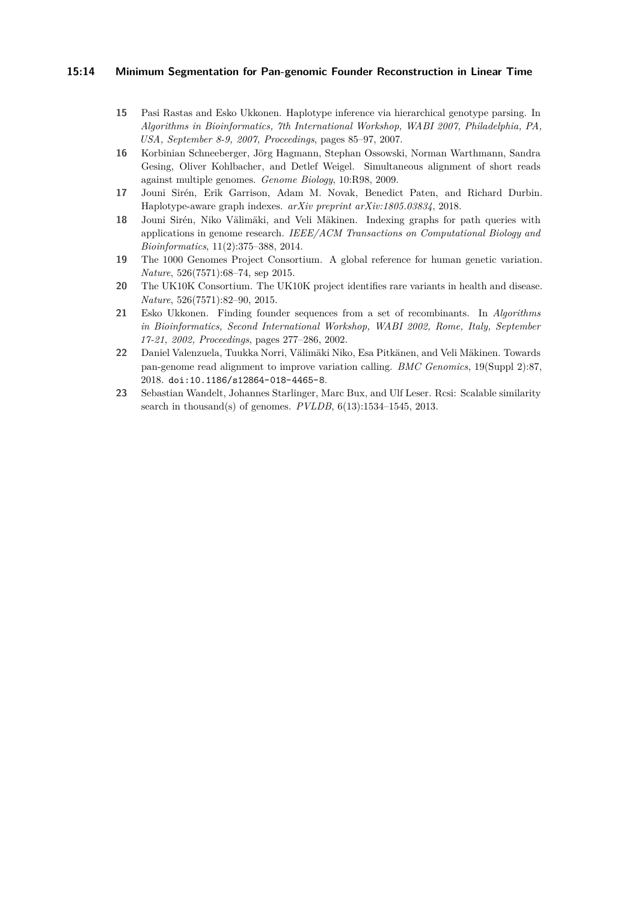### **15:14 Minimum Segmentation for Pan-genomic Founder Reconstruction in Linear Time**

- <span id="page-13-8"></span>**15** Pasi Rastas and Esko Ukkonen. Haplotype inference via hierarchical genotype parsing. In *Algorithms in Bioinformatics, 7th International Workshop, WABI 2007, Philadelphia, PA, USA, September 8-9, 2007, Proceedings*, pages 85–97, 2007.
- <span id="page-13-2"></span>**16** Korbinian Schneeberger, Jörg Hagmann, Stephan Ossowski, Norman Warthmann, Sandra Gesing, Oliver Kohlbacher, and Detlef Weigel. Simultaneous alignment of short reads against multiple genomes. *Genome Biology*, 10:R98, 2009.
- <span id="page-13-4"></span>**17** Jouni Sirén, Erik Garrison, Adam M. Novak, Benedict Paten, and Richard Durbin. Haplotype-aware graph indexes. *arXiv preprint arXiv:1805.03834*, 2018.
- <span id="page-13-3"></span>**18** Jouni Sirén, Niko Välimäki, and Veli Mäkinen. Indexing graphs for path queries with applications in genome research. *IEEE/ACM Transactions on Computational Biology and Bioinformatics*, 11(2):375–388, 2014.
- <span id="page-13-0"></span>**19** The 1000 Genomes Project Consortium. A global reference for human genetic variation. *Nature*, 526(7571):68–74, sep 2015.
- <span id="page-13-1"></span>**20** The UK10K Consortium. The UK10K project identifies rare variants in health and disease. *Nature*, 526(7571):82–90, 2015.
- <span id="page-13-7"></span>**21** Esko Ukkonen. Finding founder sequences from a set of recombinants. In *Algorithms in Bioinformatics, Second International Workshop, WABI 2002, Rome, Italy, September 17-21, 2002, Proceedings*, pages 277–286, 2002.
- <span id="page-13-5"></span>**22** Daniel Valenzuela, Tuukka Norri, Välimäki Niko, Esa Pitkänen, and Veli Mäkinen. Towards pan-genome read alignment to improve variation calling. *BMC Genomics*, 19(Suppl 2):87, 2018. [doi:10.1186/s12864-018-4465-8](http://dx.doi.org/10.1186/s12864-018-4465-8).
- <span id="page-13-6"></span>**23** Sebastian Wandelt, Johannes Starlinger, Marc Bux, and Ulf Leser. Rcsi: Scalable similarity search in thousand(s) of genomes. *PVLDB*, 6(13):1534–1545, 2013.